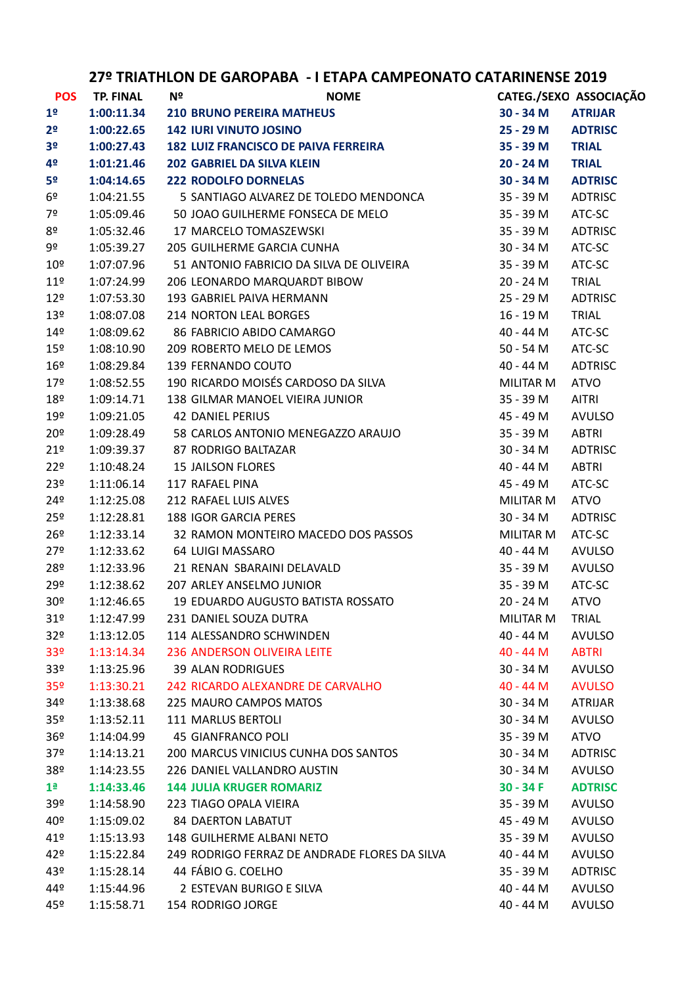| <b>POS</b>      | <b>TP. FINAL</b> | Nº | <b>NOME</b>                                   |                  | CATEG./SEXO ASSOCIAÇÃO |
|-----------------|------------------|----|-----------------------------------------------|------------------|------------------------|
| 1 <sup>o</sup>  | 1:00:11.34       |    | <b>210 BRUNO PEREIRA MATHEUS</b>              | 30 - 34 M        | <b>ATRIJAR</b>         |
| 2 <sup>o</sup>  | 1:00:22.65       |    | <b>142 IURI VINUTO JOSINO</b>                 | 25 - 29 M        | <b>ADTRISC</b>         |
| 3 <sup>o</sup>  | 1:00:27.43       |    | <b>182 LUIZ FRANCISCO DE PAIVA FERREIRA</b>   | 35 - 39 M        | <b>TRIAL</b>           |
| 4º              | 1:01:21.46       |    | <b>202 GABRIEL DA SILVA KLEIN</b>             | 20 - 24 M        | <b>TRIAL</b>           |
| 5º              | 1:04:14.65       |    | <b>222 RODOLFO DORNELAS</b>                   | 30 - 34 M        | <b>ADTRISC</b>         |
| 6º              | 1:04:21.55       |    | 5 SANTIAGO ALVAREZ DE TOLEDO MENDONCA         | 35 - 39 M        | <b>ADTRISC</b>         |
| 7º              | 1:05:09.46       |    | 50 JOAO GUILHERME FONSECA DE MELO             | 35 - 39 M        | ATC-SC                 |
| 8º              | 1:05:32.46       |    | 17 MARCELO TOMASZEWSKI                        | 35 - 39 M        | <b>ADTRISC</b>         |
| 9º              | 1:05:39.27       |    | 205 GUILHERME GARCIA CUNHA                    | 30 - 34 M        | ATC-SC                 |
| 10 <sup>°</sup> | 1:07:07.96       |    | 51 ANTONIO FABRICIO DA SILVA DE OLIVEIRA      | 35 - 39 M        | ATC-SC                 |
| $11^{\circ}$    | 1:07:24.99       |    | 206 LEONARDO MARQUARDT BIBOW                  | 20 - 24 M        | TRIAL                  |
| 12 <sup>°</sup> | 1:07:53.30       |    | 193 GABRIEL PAIVA HERMANN                     | 25 - 29 M        | <b>ADTRISC</b>         |
| 13 <sup>°</sup> | 1:08:07.08       |    | <b>214 NORTON LEAL BORGES</b>                 | 16 - 19 M        | TRIAL                  |
| 14 <sup>°</sup> | 1:08:09.62       |    | 86 FABRICIO ABIDO CAMARGO                     | 40 - 44 M        | ATC-SC                 |
| 15 <sup>°</sup> | 1:08:10.90       |    | 209 ROBERTO MELO DE LEMOS                     | 50 - 54 M        | ATC-SC                 |
| 16 <sup>°</sup> | 1:08:29.84       |    | 139 FERNANDO COUTO                            | 40 - 44 M        | <b>ADTRISC</b>         |
| $17^{\circ}$    | 1:08:52.55       |    | 190 RICARDO MOISÉS CARDOSO DA SILVA           | MILITAR M        | <b>ATVO</b>            |
| 18 <sup>°</sup> | 1:09:14.71       |    | 138 GILMAR MANOEL VIEIRA JUNIOR               | 35 - 39 M        | <b>AITRI</b>           |
| 19 <sup>°</sup> | 1:09:21.05       |    | <b>42 DANIEL PERIUS</b>                       | 45 - 49 M        | <b>AVULSO</b>          |
| $20^{\circ}$    | 1:09:28.49       |    | 58 CARLOS ANTONIO MENEGAZZO ARAUJO            | 35 - 39 M        | <b>ABTRI</b>           |
| 21°             | 1:09:39.37       |    | 87 RODRIGO BALTAZAR                           | 30 - 34 M        | <b>ADTRISC</b>         |
| 22 <sup>°</sup> | 1:10:48.24       |    | <b>15 JAILSON FLORES</b>                      | 40 - 44 M        | ABTRI                  |
| 23º             | 1:11:06.14       |    | 117 RAFAEL PINA                               | 45 - 49 M        | ATC-SC                 |
| $24^{\circ}$    | 1:12:25.08       |    | 212 RAFAEL LUIS ALVES                         | MILITAR M        | <b>ATVO</b>            |
| 25 <sup>°</sup> | 1:12:28.81       |    | <b>188 IGOR GARCIA PERES</b>                  | 30 - 34 M        | ADTRISC                |
| 26 <sup>°</sup> | 1:12:33.14       |    | 32 RAMON MONTEIRO MACEDO DOS PASSOS           | MILITAR M        | ATC-SC                 |
| 27°             | 1:12:33.62       |    | 64 LUIGI MASSARO                              | 40 - 44 M        | <b>AVULSO</b>          |
| 28º             | 1:12:33.96       |    | 21 RENAN SBARAINI DELAVALD                    | 35 - 39 M        | <b>AVULSO</b>          |
| 29º             | 1:12:38.62       |    | 207 ARLEY ANSELMO JUNIOR                      | 35 - 39 M        | ATC-SC                 |
| 30 <sup>o</sup> | 1:12:46.65       |    | 19 EDUARDO AUGUSTO BATISTA ROSSATO            | 20 - 24 M        | <b>ATVO</b>            |
| 31 <sup>°</sup> | 1:12:47.99       |    | 231 DANIEL SOUZA DUTRA                        | <b>MILITAR M</b> | <b>TRIAL</b>           |
| 32 <sup>o</sup> | 1:13:12.05       |    | 114 ALESSANDRO SCHWINDEN                      | 40 - 44 M        | <b>AVULSO</b>          |
| 33 <sup>o</sup> | 1:13:14.34       |    | <b>236 ANDERSON OLIVEIRA LEITE</b>            | $40 - 44 M$      | <b>ABTRI</b>           |
| 33º             | 1:13:25.96       |    | <b>39 ALAN RODRIGUES</b>                      | $30 - 34 M$      | <b>AVULSO</b>          |
| 35 <sup>o</sup> | 1:13:30.21       |    | 242 RICARDO ALEXANDRE DE CARVALHO             | $40 - 44 M$      | <b>AVULSO</b>          |
| 34º             | 1:13:38.68       |    | 225 MAURO CAMPOS MATOS                        | $30 - 34$ M      | <b>ATRIJAR</b>         |
| 35 <sup>o</sup> | 1:13:52.11       |    | 111 MARLUS BERTOLI                            | 30 - 34 M        | <b>AVULSO</b>          |
| 36 <sup>°</sup> | 1:14:04.99       |    | <b>45 GIANFRANCO POLI</b>                     | 35 - 39 M        | <b>ATVO</b>            |
| 37º             | 1:14:13.21       |    | 200 MARCUS VINICIUS CUNHA DOS SANTOS          | $30 - 34$ M      | <b>ADTRISC</b>         |
| 38º             | 1:14:23.55       |    | 226 DANIEL VALLANDRO AUSTIN                   | 30 - 34 M        | AVULSO                 |
| 1 <sup>a</sup>  | 1:14:33.46       |    | <b>144 JULIA KRUGER ROMARIZ</b>               | $30 - 34F$       | <b>ADTRISC</b>         |
| 39º             | 1:14:58.90       |    | 223 TIAGO OPALA VIEIRA                        | 35 - 39 M        | <b>AVULSO</b>          |
| 40º             | 1:15:09.02       |    | <b>84 DAERTON LABATUT</b>                     | 45 - 49 M        | <b>AVULSO</b>          |
| 41º             | 1:15:13.93       |    | 148 GUILHERME ALBANI NETO                     | 35 - 39 M        | <b>AVULSO</b>          |
| 42°             | 1:15:22.84       |    | 249 RODRIGO FERRAZ DE ANDRADE FLORES DA SILVA | 40 - 44 M        | AVULSO                 |
| 43º             | 1:15:28.14       |    | 44 FÁBIO G. COELHO                            | 35 - 39 M        | <b>ADTRISC</b>         |
| 44º             | 1:15:44.96       |    | 2 ESTEVAN BURIGO E SILVA                      | 40 - 44 M        | <b>AVULSO</b>          |
| 45º             | 1:15:58.71       |    | 154 RODRIGO JORGE                             | 40 - 44 M        | <b>AVULSO</b>          |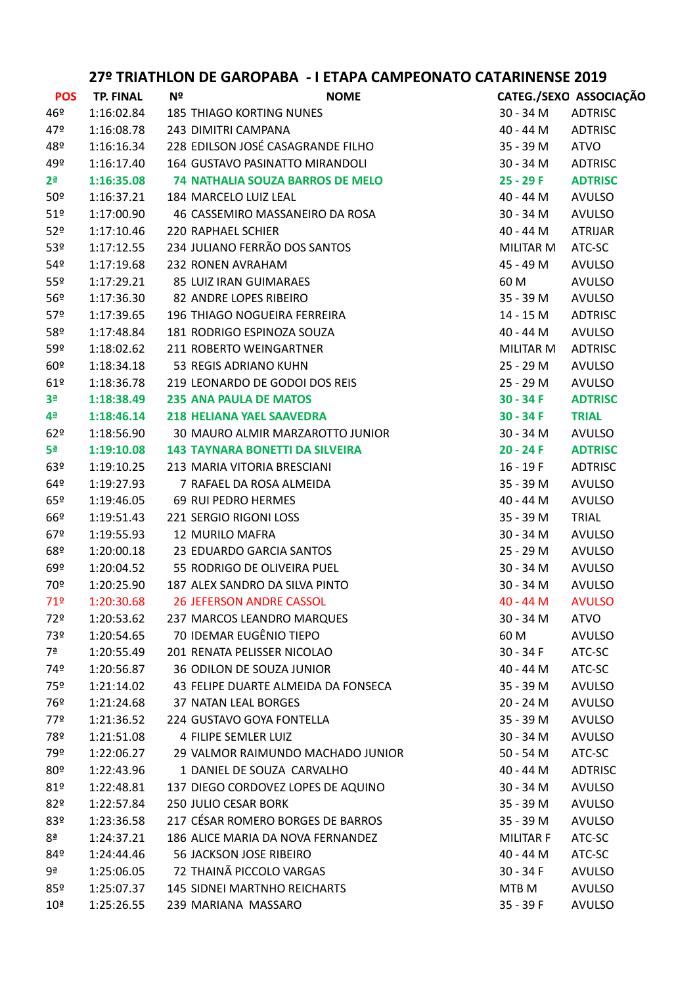| <b>POS</b>          | <b>TP. FINAL</b> | Nº | <b>NOME</b>                             |                  | CATEG./SEXO ASSOCIAÇÃO |
|---------------------|------------------|----|-----------------------------------------|------------------|------------------------|
| 46º                 | 1:16:02.84       |    | <b>185 THIAGO KORTING NUNES</b>         | 30 - 34 M        | ADTRISC                |
| 47º                 | 1:16:08.78       |    | 243 DIMITRI CAMPANA                     | 40 - 44 M        | <b>ADTRISC</b>         |
| 48º                 | 1:16:16.34       |    | 228 EDILSON JOSÉ CASAGRANDE FILHO       | 35 - 39 M        | <b>ATVO</b>            |
| 49º                 | 1:16:17.40       |    | 164 GUSTAVO PASINATTO MIRANDOLI         | 30 - 34 M        | <b>ADTRISC</b>         |
| $2^{\underline{a}}$ | 1:16:35.08       |    | <b>74 NATHALIA SOUZA BARROS DE MELO</b> | 25 - 29 F        | <b>ADTRISC</b>         |
| 50 <sup>°</sup>     | 1:16:37.21       |    | 184 MARCELO LUIZ LEAL                   | 40 - 44 M        | <b>AVULSO</b>          |
| 51 <sup>°</sup>     | 1:17:00.90       |    | 46 CASSEMIRO MASSANEIRO DA ROSA         | 30 - 34 M        | <b>AVULSO</b>          |
| 52 <sup>o</sup>     | 1:17:10.46       |    | 220 RAPHAEL SCHIER                      | 40 - 44 M        | <b>ATRIJAR</b>         |
| 53º                 | 1:17:12.55       |    | 234 JULIANO FERRÃO DOS SANTOS           | MILITAR M        | ATC-SC                 |
| 54 <sup>°</sup>     | 1:17:19.68       |    | 232 RONEN AVRAHAM                       | 45 - 49 M        | <b>AVULSO</b>          |
| 55 <sup>°</sup>     | 1:17:29.21       |    | 85 LUIZ IRAN GUIMARAES                  | 60 M             | <b>AVULSO</b>          |
| 56 <sup>°</sup>     | 1:17:36.30       |    | 82 ANDRE LOPES RIBEIRO                  | 35 - 39 M        | <b>AVULSO</b>          |
| 57 <sup>°</sup>     | 1:17:39.65       |    | 196 THIAGO NOGUEIRA FERREIRA            | 14 - 15 M        | <b>ADTRISC</b>         |
| 58º                 | 1:17:48.84       |    | 181 RODRIGO ESPINOZA SOUZA              | 40 - 44 M        | <b>AVULSO</b>          |
| 59º                 | 1:18:02.62       |    | 211 ROBERTO WEINGARTNER                 | MILITAR M        | <b>ADTRISC</b>         |
| 60º                 | 1:18:34.18       |    | 53 REGIS ADRIANO KUHN                   | 25 - 29 M        | <b>AVULSO</b>          |
| 61°                 | 1:18:36.78       |    | 219 LEONARDO DE GODOI DOS REIS          | 25 - 29 M        | <b>AVULSO</b>          |
| 3 <sup>a</sup>      | 1:18:38.49       |    | <b>235 ANA PAULA DE MATOS</b>           | $30 - 34 F$      | <b>ADTRISC</b>         |
| 4ª                  | 1:18:46.14       |    | <b>218 HELIANA YAEL SAAVEDRA</b>        | $30 - 34 F$      | <b>TRIAL</b>           |
| 62°                 | 1:18:56.90       |    | 30 MAURO ALMIR MARZAROTTO JUNIOR        | 30 - 34 M        | AVULSO                 |
| 5ª                  | 1:19:10.08       |    | <b>143 TAYNARA BONETTI DA SILVEIRA</b>  | $20 - 24 F$      | <b>ADTRISC</b>         |
| 63 <sup>°</sup>     | 1:19:10.25       |    | 213 MARIA VITORIA BRESCIANI             | $16 - 19F$       | ADTRISC                |
| 64º                 | 1:19:27.93       |    | 7 RAFAEL DA ROSA ALMEIDA                | 35 - 39 M        | <b>AVULSO</b>          |
| 65º                 | 1:19:46.05       |    | 69 RUI PEDRO HERMES                     | 40 - 44 M        | <b>AVULSO</b>          |
| 66º                 | 1:19:51.43       |    | 221 SERGIO RIGONI LOSS                  | 35 - 39 M        | <b>TRIAL</b>           |
| 67°                 | 1:19:55.93       |    | <b>12 MURILO MAFRA</b>                  | 30 - 34 M        | <b>AVULSO</b>          |
| 68º                 | 1:20:00.18       |    | 23 EDUARDO GARCIA SANTOS                | 25 - 29 M        | <b>AVULSO</b>          |
| 69º                 | 1:20:04.52       |    | 55 RODRIGO DE OLIVEIRA PUEL             | $30 - 34 M$      | <b>AVULSO</b>          |
| 70º                 | 1:20:25.90       |    | 187 ALEX SANDRO DA SILVA PINTO          | 30 - 34 M        | <b>AVULSO</b>          |
| 719                 | 1:20:30.68       |    | <b>26 JEFERSON ANDRE CASSOL</b>         | 40 - 44 M        | <b>AVULSO</b>          |
| 72º                 | 1:20:53.62       |    | 237 MARCOS LEANDRO MARQUES              | 30 - 34 M        | ATVO                   |
| 73º                 | 1:20:54.65       |    | 70 IDEMAR EUGÊNIO TIEPO                 | 60 M             | <b>AVULSO</b>          |
| 7ª                  | 1:20:55.49       |    | 201 RENATA PELISSER NICOLAO             | $30 - 34 F$      | ATC-SC                 |
| 74º                 | 1:20:56.87       |    | 36 ODILON DE SOUZA JUNIOR               | 40 - 44 M        | ATC-SC                 |
| 75º                 | 1:21:14.02       |    | 43 FELIPE DUARTE ALMEIDA DA FONSECA     | 35 - 39 M        | <b>AVULSO</b>          |
| 76º                 | 1:21:24.68       |    | 37 NATAN LEAL BORGES                    | 20 - 24 M        | <b>AVULSO</b>          |
| 77º                 | 1:21:36.52       |    | 224 GUSTAVO GOYA FONTELLA               | 35 - 39 M        | <b>AVULSO</b>          |
| 78º                 | 1:21:51.08       |    | 4 FILIPE SEMLER LUIZ                    | 30 - 34 M        | <b>AVULSO</b>          |
| 79º                 | 1:22:06.27       |    | 29 VALMOR RAIMUNDO MACHADO JUNIOR       | $50 - 54$ M      | ATC-SC                 |
| 80º                 | 1:22:43.96       |    | 1 DANIEL DE SOUZA CARVALHO              | 40 - 44 M        | <b>ADTRISC</b>         |
| 81°                 | 1:22:48.81       |    | 137 DIEGO CORDOVEZ LOPES DE AQUINO      | 30 - 34 M        | <b>AVULSO</b>          |
| 82º                 | 1:22:57.84       |    | 250 JULIO CESAR BORK                    | 35 - 39 M        | <b>AVULSO</b>          |
| 83º                 | 1:23:36.58       |    | 217 CÉSAR ROMERO BORGES DE BARROS       | 35 - 39 M        | <b>AVULSO</b>          |
| 8ª                  | 1:24:37.21       |    | 186 ALICE MARIA DA NOVA FERNANDEZ       | <b>MILITAR F</b> | ATC-SC                 |
| 84º                 | 1:24:44.46       |    | 56 JACKSON JOSE RIBEIRO                 | 40 - 44 M        | ATC-SC                 |
| 9ª                  | 1:25:06.05       |    | 72 THAINÃ PICCOLO VARGAS                | $30 - 34 F$      | <b>AVULSO</b>          |
| 85º                 | 1:25:07.37       |    | <b>145 SIDNEI MARTNHO REICHARTS</b>     | MTB M            | <b>AVULSO</b>          |
| 10 <sup>a</sup>     | 1:25:26.55       |    | 239 MARIANA MASSARO                     | 35 - 39 F        | <b>AVULSO</b>          |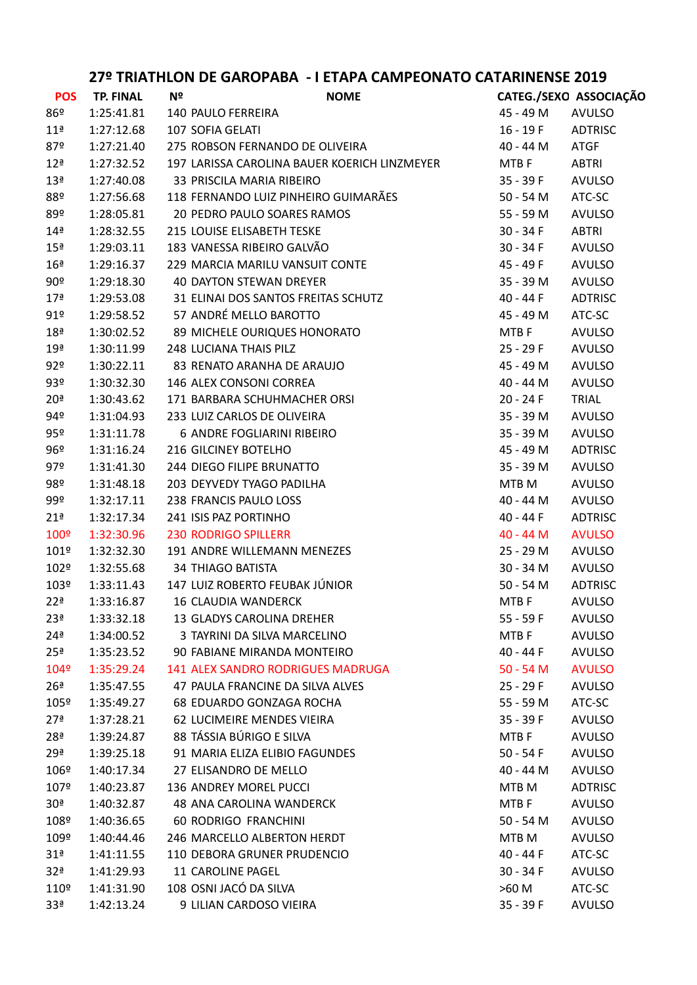| <b>POS</b>      | <b>TP. FINAL</b> | Nº | <b>NOME</b>                                  | CATEG./SEXO ASSOCIAÇÃO |                |
|-----------------|------------------|----|----------------------------------------------|------------------------|----------------|
| 86º             | 1:25:41.81       |    | 140 PAULO FERREIRA                           | 45 - 49 M              | <b>AVULSO</b>  |
| 11 <sup>a</sup> | 1:27:12.68       |    | 107 SOFIA GELATI                             | 16 - 19 F              | ADTRISC        |
| 87º             | 1:27:21.40       |    | 275 ROBSON FERNANDO DE OLIVEIRA              | 40 - 44 M              | <b>ATGF</b>    |
| 12 <sup>a</sup> | 1:27:32.52       |    | 197 LARISSA CAROLINA BAUER KOERICH LINZMEYER | MTB F                  | ABTRI          |
| 13 <sup>a</sup> | 1:27:40.08       |    | 33 PRISCILA MARIA RIBEIRO                    | $35 - 39 F$            | <b>AVULSO</b>  |
| 88º             | 1:27:56.68       |    | 118 FERNANDO LUIZ PINHEIRO GUIMARÃES         | 50 - 54 M              | ATC-SC         |
| 89º             | 1:28:05.81       |    | 20 PEDRO PAULO SOARES RAMOS                  | 55 - 59 M              | <b>AVULSO</b>  |
| 14 <sup>a</sup> | 1:28:32.55       |    | 215 LOUISE ELISABETH TESKE                   | $30 - 34 F$            | <b>ABTRI</b>   |
| 15 <sup>a</sup> | 1:29:03.11       |    | 183 VANESSA RIBEIRO GALVÃO                   | $30 - 34 F$            | <b>AVULSO</b>  |
| 16 <sup>a</sup> | 1:29:16.37       |    | 229 MARCIA MARILU VANSUIT CONTE              | 45 - 49 F              | <b>AVULSO</b>  |
| 90 <sup>°</sup> | 1:29:18.30       |    | <b>40 DAYTON STEWAN DREYER</b>               | 35 - 39 M              | <b>AVULSO</b>  |
| 17 <sup>a</sup> | 1:29:53.08       |    | 31 ELINAI DOS SANTOS FREITAS SCHUTZ          | 40 - 44 F              | <b>ADTRISC</b> |
| 91°             | 1:29:58.52       |    | 57 ANDRÉ MELLO BAROTTO                       | 45 - 49 M              | ATC-SC         |
| 18 <sup>a</sup> | 1:30:02.52       |    | 89 MICHELE OURIQUES HONORATO                 | MTB F                  | <b>AVULSO</b>  |
| 19 <sup>a</sup> | 1:30:11.99       |    | 248 LUCIANA THAIS PILZ                       | 25 - 29 F              | <b>AVULSO</b>  |
| 92°             | 1:30:22.11       |    | 83 RENATO ARANHA DE ARAUJO                   | 45 - 49 M              | <b>AVULSO</b>  |
| 93º             | 1:30:32.30       |    | 146 ALEX CONSONI CORREA                      | 40 - 44 M              | <b>AVULSO</b>  |
| 20 <sup>a</sup> | 1:30:43.62       |    | 171 BARBARA SCHUHMACHER ORSI                 | 20 - 24 F              | TRIAL          |
| 94º             | 1:31:04.93       |    | 233 LUIZ CARLOS DE OLIVEIRA                  | 35 - 39 M              | <b>AVULSO</b>  |
| 95º             | 1:31:11.78       |    | 6 ANDRE FOGLIARINI RIBEIRO                   | 35 - 39 M              | <b>AVULSO</b>  |
| 96º             | 1:31:16.24       |    | 216 GILCINEY BOTELHO                         | 45 - 49 M              | <b>ADTRISC</b> |
| 97º             | 1:31:41.30       |    | 244 DIEGO FILIPE BRUNATTO                    | 35 - 39 M              | <b>AVULSO</b>  |
| 98º             | 1:31:48.18       |    | 203 DEYVEDY TYAGO PADILHA                    | MTB M                  | <b>AVULSO</b>  |
| 99º             | 1:32:17.11       |    | 238 FRANCIS PAULO LOSS                       | 40 - 44 M              | <b>AVULSO</b>  |
| 21 <sup>a</sup> | 1:32:17.34       |    | 241 ISIS PAZ PORTINHO                        | 40 - 44 F              | <b>ADTRISC</b> |
| 100º            | 1:32:30.96       |    | <b>230 RODRIGO SPILLERR</b>                  | $40 - 44 M$            | <b>AVULSO</b>  |
| 101º            | 1:32:32.30       |    | 191 ANDRE WILLEMANN MENEZES                  | 25 - 29 M              | <b>AVULSO</b>  |
| 102º            | 1:32:55.68       |    | <b>34 THIAGO BATISTA</b>                     | 30 - 34 M              | <b>AVULSO</b>  |
| 103º            | 1:33:11.43       |    | 147 LUIZ ROBERTO FEUBAK JÚNIOR               | $50 - 54$ M            | <b>ADTRISC</b> |
| 22 <sup>a</sup> | 1:33:16.87       |    | <b>16 CLAUDIA WANDERCK</b>                   | MTB F                  | <b>AVULSO</b>  |
| 23 <sup>a</sup> | 1:33:32.18       |    | 13 GLADYS CAROLINA DREHER                    | 55 - 59 F              | <b>AVULSO</b>  |
| 24 <sup>a</sup> | 1:34:00.52       |    | 3 TAYRINI DA SILVA MARCELINO                 | MTB F                  | <b>AVULSO</b>  |
| 25 <sup>a</sup> | 1:35:23.52       |    | 90 FABIANE MIRANDA MONTEIRO                  | 40 - 44 F              | <b>AVULSO</b>  |
| 104º            | 1:35:29.24       |    | <b>141 ALEX SANDRO RODRIGUES MADRUGA</b>     | $50 - 54 M$            | <b>AVULSO</b>  |
| 26 <sup>a</sup> | 1:35:47.55       |    | 47 PAULA FRANCINE DA SILVA ALVES             | 25 - 29 F              | <b>AVULSO</b>  |
| 105º            | 1:35:49.27       |    | 68 EDUARDO GONZAGA ROCHA                     | 55 - 59 M              | ATC-SC         |
| 27 <sup>a</sup> | 1:37:28.21       |    | <b>62 LUCIMEIRE MENDES VIEIRA</b>            | 35 - 39 F              | <b>AVULSO</b>  |
| 28 <sup>a</sup> | 1:39:24.87       |    | 88 TÁSSIA BÚRIGO E SILVA                     | MTB F                  | <b>AVULSO</b>  |
| 29 <sup>a</sup> | 1:39:25.18       |    | 91 MARIA ELIZA ELIBIO FAGUNDES               | $50 - 54F$             | <b>AVULSO</b>  |
| 106º            | 1:40:17.34       |    | 27 ELISANDRO DE MELLO                        | 40 - 44 M              | <b>AVULSO</b>  |
| 107º            | 1:40:23.87       |    | 136 ANDREY MOREL PUCCI                       | MTB <sub>M</sub>       | <b>ADTRISC</b> |
| 30 <sup>a</sup> | 1:40:32.87       |    | 48 ANA CAROLINA WANDERCK                     | MTB F                  | <b>AVULSO</b>  |
| 108º            | 1:40:36.65       |    | <b>60 RODRIGO FRANCHINI</b>                  | $50 - 54$ M            | <b>AVULSO</b>  |
| 109º            | 1:40:44.46       |    | 246 MARCELLO ALBERTON HERDT                  | MTB M                  | <b>AVULSO</b>  |
| 31 <sup>a</sup> | 1:41:11.55       |    | 110 DEBORA GRUNER PRUDENCIO                  | 40 - 44 F              | ATC-SC         |
| 32 <sup>a</sup> | 1:41:29.93       |    | 11 CAROLINE PAGEL                            | 30 - 34 F              | <b>AVULSO</b>  |
| 110º            | 1:41:31.90       |    | 108 OSNI JACÓ DA SILVA                       | >60 M                  | ATC-SC         |
| 33 <sup>a</sup> | 1:42:13.24       |    | 9 LILIAN CARDOSO VIEIRA                      | 35 - 39 F              | <b>AVULSO</b>  |